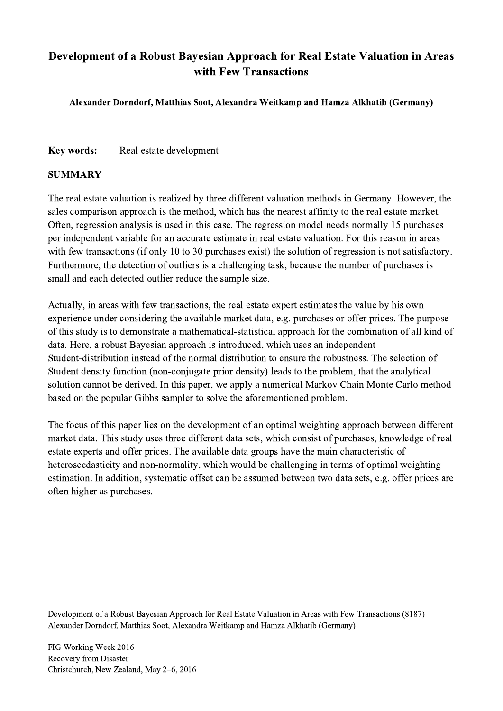## Development of a Robust Bayesian Approach for Real Estate Valuation in Areas with Few Transactions

Alexander Dorndorf, Matthias Soot, Alexandra Weitkamp and Hamza Alkhatib (Germany)

Key words: Real estate development

## SUMMARY

The real estate valuation is realized by three different valuation methods in Germany. However, the sales comparison approach is the method, which has the nearest affinity to the real estate market. Often, regression analysis is used in this case. The regression model needs normally 15 purchases per independent variable for an accurate estimate in real estate valuation. For this reason in areas with few transactions (if only 10 to 30 purchases exist) the solution of regression is not satisfactory. Furthermore, the detection of outliers is a challenging task, because the number of purchases is small and each detected outlier reduce the sample size.

Actually, in areas with few transactions, the real estate expert estimates the value by his own experience under considering the available market data, e.g. purchases or offer prices. The purpose of this study is to demonstrate a mathematical-statistical approach for the combination of all kind of data. Here, a robust Bayesian approach is introduced, which uses an independent Student-distribution instead of the normal distribution to ensure the robustness. The selection of Student density function (non-conjugate prior density) leads to the problem, that the analytical solution cannot be derived. In this paper, we apply a numerical Markov Chain Monte Carlo method based on the popular Gibbs sampler to solve the aforementioned problem.

The focus of this paper lies on the development of an optimal weighting approach between different market data. This study uses three different data sets, which consist of purchases, knowledge of real estate experts and offer prices. The available data groups have the main characteristic of heteroscedasticity and non-normality, which would be challenging in terms of optimal weighting estimation. In addition, systematic offset can be assumed between two data sets, e.g. offer prices are often higher as purchases.

Development of a Robust Bayesian Approach for Real Estate Valuation in Areas with Few Transactions (8187) Alexander Dorndorf, Matthias Soot, Alexandra Weitkamp and Hamza Alkhatib (Germany)

 $\mathcal{L}_\mathcal{L} = \{ \mathcal{L}_\mathcal{L} = \{ \mathcal{L}_\mathcal{L} = \{ \mathcal{L}_\mathcal{L} = \{ \mathcal{L}_\mathcal{L} = \{ \mathcal{L}_\mathcal{L} = \{ \mathcal{L}_\mathcal{L} = \{ \mathcal{L}_\mathcal{L} = \{ \mathcal{L}_\mathcal{L} = \{ \mathcal{L}_\mathcal{L} = \{ \mathcal{L}_\mathcal{L} = \{ \mathcal{L}_\mathcal{L} = \{ \mathcal{L}_\mathcal{L} = \{ \mathcal{L}_\mathcal{L} = \{ \mathcal{L}_\mathcal{$ 

FIG Working Week 2016 Recovery from Disaster Christchurch, New Zealand, May 2–6, 2016